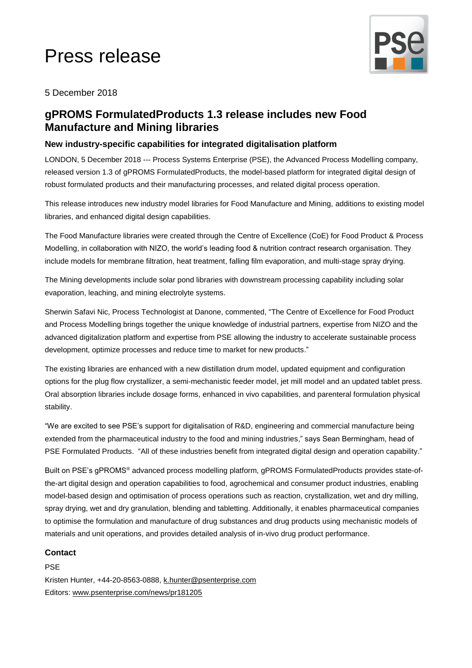# Press release



5 December 2018

# **gPROMS FormulatedProducts 1.3 release includes new Food Manufacture and Mining libraries**

# **New industry-specific capabilities for integrated digitalisation platform**

LONDON, 5 December 2018 --- Process Systems Enterprise (PSE), the Advanced Process Modelling company, released version 1.3 of gPROMS FormulatedProducts, the model-based platform for integrated digital design of robust formulated products and their manufacturing processes, and related digital process operation.

This release introduces new industry model libraries for Food Manufacture and Mining, additions to existing model libraries, and enhanced digital design capabilities.

The Food Manufacture libraries were created through the Centre of Excellence (CoE) for Food Product & Process Modelling, in collaboration with NIZO, the world's leading food & nutrition contract research organisation. They include models for membrane filtration, heat treatment, falling film evaporation, and multi-stage spray drying.

The Mining developments include solar pond libraries with downstream processing capability including solar evaporation, leaching, and mining electrolyte systems.

Sherwin Safavi Nic, Process Technologist at Danone, commented, "The Centre of Excellence for Food Product and Process Modelling brings together the unique knowledge of industrial partners, expertise from NIZO and the advanced digitalization platform and expertise from PSE allowing the industry to accelerate sustainable process development, optimize processes and reduce time to market for new products."

The existing libraries are enhanced with a new distillation drum model, updated equipment and configuration options for the plug flow crystallizer, a semi-mechanistic feeder model, jet mill model and an updated tablet press. Oral absorption libraries include dosage forms, enhanced in vivo capabilities, and parenteral formulation physical stability.

"We are excited to see PSE's support for digitalisation of R&D, engineering and commercial manufacture being extended from the pharmaceutical industry to the food and mining industries," says Sean Bermingham, head of PSE Formulated Products. "All of these industries benefit from integrated digital design and operation capability."

Built on PSE's gPROMS® advanced process modelling platform, gPROMS FormulatedProducts provides state-ofthe-art digital design and operation capabilities to food, agrochemical and consumer product industries, enabling model-based design and optimisation of process operations such as reaction, crystallization, wet and dry milling, spray drying, wet and dry granulation, blending and tabletting. Additionally, it enables pharmaceutical companies to optimise the formulation and manufacture of drug substances and drug products using mechanistic models of materials and unit operations, and provides detailed analysis of in-vivo drug product performance.

## **Contact**

PSE Kristen Hunter, +44-20-8563-0888, [k.hunter@psenterprise.com](mailto:k.hunter@psenterprise.com) Editors: www.psenterprise.com/news/pr181205